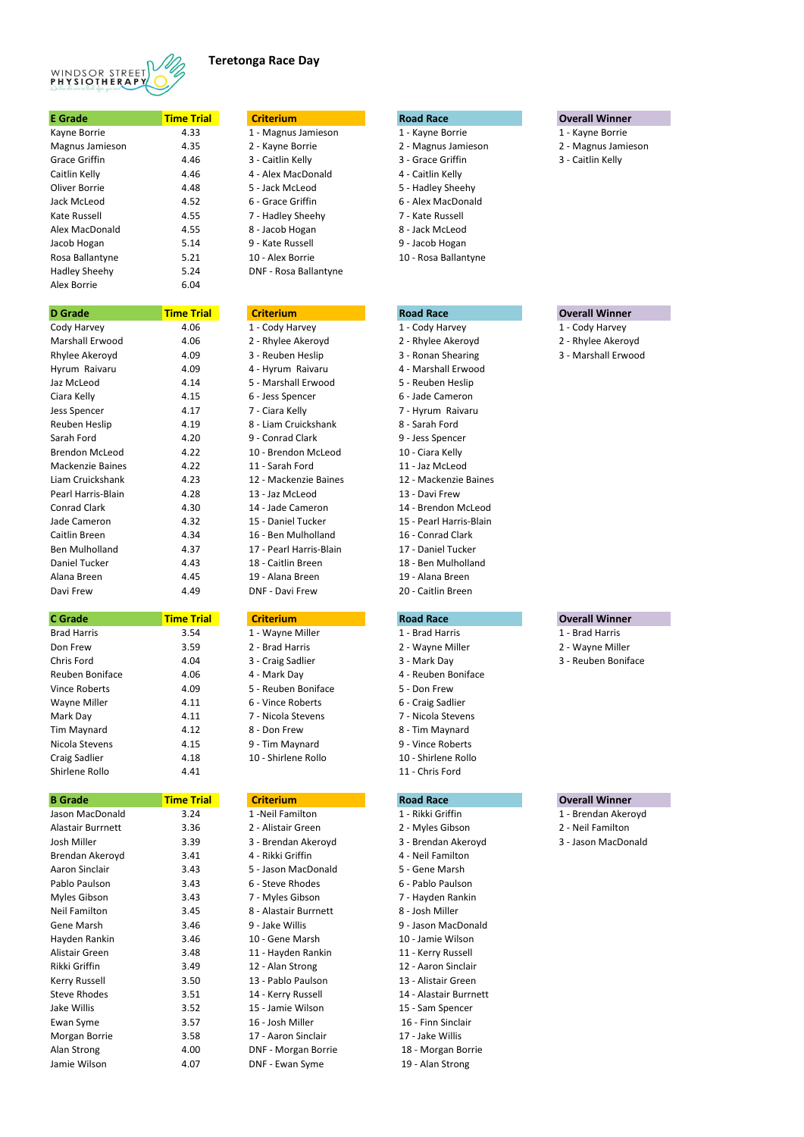- n 1 Kayne Borrie 1 Kayne Borrie
	- 2 Magnus Jamieson 2 Magnus Jamieson
	- Grace Griffin 4.46 3 Caitlin Kelly 3 Grace Griffin 3 Caitlin Kelly

| 1 - Magnus Jamieson   |
|-----------------------|
| 2 - Kayne Borrie      |
| 3 - Caitlin Kelly     |
| 4 - Alex MacDonald    |
| 5 - Jack McLeod       |
| 6 - Grace Griffin     |
| 7 - Hadley Sheehy     |
| 8 - Jacob Hogan       |
| 9 - Kate Russell      |
| 10 - Alex Borrie      |
| DNF - Rosa Ballantyne |

| <b>Criterium</b>        |
|-------------------------|
| 1 - Cody Harvey         |
| 2 - Rhylee Akeroyd      |
| 3 - Reuben Heslip       |
| 4 - Hyrum Raivaru       |
| 5 - Marshall Erwood     |
| 6 - Jess Spencer        |
| 7 - Ciara Kelly         |
| 8 - Liam Cruickshank    |
| 9 - Conrad Clark        |
| 10 - Brendon McLeod     |
| 11 - Sarah Ford         |
| 12 - Mackenzie Baines   |
| 13 - Jaz McLeod         |
| 14 - Jade Cameron       |
| 15 - Daniel Tucker      |
| 16 - Ben Mulholland     |
| 17 - Pearl Harris-Blain |
| 18 - Caitlin Breen      |
| 19 - Alana Breen        |
| <b>DNF - Davi Frew</b>  |

| 1 - Wayne Miller    |
|---------------------|
| 2 - Brad Harris     |
| 3 - Craig Sadlier   |
| 4 - Mark Day        |
| 5 - Reuben Bonifac  |
| 6 - Vince Roberts   |
| 7 - Nicola Stevens  |
| 8 - Don Frew        |
| 9 - Tim Maynard     |
| 10 - Shirlene Rollo |
|                     |

| <b>E</b> Grade       | <b>Time Trial</b> |
|----------------------|-------------------|
| Kayne Borrie         | 4.33              |
| Magnus Jamieson      | 4.35              |
| Grace Griffin        | 4.46              |
| Caitlin Kelly        | 4.46              |
| Oliver Borrie        | 4.48              |
| Jack McLeod          | 4.52              |
| Kate Russell         | 4.55              |
| Alex MacDonald       | 4.55              |
| Jacob Hogan          | 5.14              |
| Rosa Ballantyne      | 5.21              |
| <b>Hadley Sheehy</b> | 5.24              |
| Alex Borrie          | 6.04              |

| <b>D</b> Grade          | <b>Time Trial</b> |
|-------------------------|-------------------|
| Cody Harvey             | 4.06              |
| <b>Marshall Erwood</b>  | 4.06              |
| Rhylee Akeroyd          | 4.09              |
| Hyrum Raivaru           | 4.09              |
| Jaz McLeod              | 4.14              |
| Ciara Kelly             | 4.15              |
| Jess Spencer            | 4.17              |
| <b>Reuben Heslip</b>    | 4.19              |
| Sarah Ford              | 4.20              |
| <b>Brendon McLeod</b>   | 4.22              |
| <b>Mackenzie Baines</b> | 4.22              |
| Liam Cruickshank        | 4.23              |
| Pearl Harris-Blain      | 4.28              |
| Conrad Clark            | 4.30              |
| Jade Cameron            | 4.32              |
| Caitlin Breen           | 4.34              |
| <b>Ben Mulholland</b>   | 4.37              |
| Daniel Tucker           | 4.43              |
| Alana Breen             | 4.45              |
| Davi Frew               | 4.49              |

# **D Grade Time Trial Criterium Road Race Overall Winner**

- 
- 
- 

# **Criterium Trial Criterium Trial Criterium Criterium Criterium Criterium Criterium Criterium Criterium Criterium Criterium Criterium Criterium Criterium Criterium Criterium Criterium Crite**

- 
- 
- 3 Mark Day 3 Reuben Boniface

## **B Article Criterium Road Race Criterium Criterium Criterium Road Race Overall Winner**

- 1 Neil Familton 1 Rikki Griffin 1 Brendan Akeroyd
	-
	-

- 
- 
- 
- 
- 
- 

- -
	- -
- - -
- 
- 2 Wayne Miller 2 Wayne Miller
	-
- 
- 

2 - Alistair Green 2 - Myles Gibson 2 - Neil Familton Josh Miller 3.39 3 - Brendan Akeroyd 3 - Brendan Akeroyd 3 - Jason MacDonald

- -
	-
	- 4 Caitlin Kelly
	- 5 Hadley Sheehy
	- 6 Alex MacDonald
	- 7 Kate Russell
	- 8 Jack McLeod
	- 9 Jacob Hogan
	- 10 Rosa Ballantyne

1 - Cody Harvey 1 - Cody Harvey 2 - Rhylee Akeroyd 2 - Rhylee Akeroyd 3 - Ronan Shearing 3 - Marshall Erwood 4 - Marshall Erwood 5 - Reuben Heslip 6 - Jade Cameron 7 - Hyrum Raivaru 8 - Sarah Ford 9 - Jess Spencer 10 - Ciara Kelly 11 - Jaz McLeod 12 - Mackenzie Baines 13 - Davi Frew 14 - Brendon McLeod 15 - Pearl Harris-Blain 16 - Conrad Clark 17 - Daniel Tucker 18 - Ben Mulholland 19 - Alana Breen 20 - Caitlin Breen

- 
- 
- 4 Reuben Boniface
- Vince Roberts 4.09 5 Reuben Boniface 5 Don Frew
	- 6 Craig Sadlier
	- 7 Nicola Stevens
	- 8 Tim Maynard
	- 9 Vince Roberts
	- 10 Shirlene Rollo 11 - Chris Ford

- 
- 
- 

# **Criterium Trial Criterium Trial Criterium Criterium Criterium Criterium Criterium Criterium Criterium Criterium Criterium Criterium Criterium Criterium Criterium Criterium Criterium Crite**

| <b>C</b> Grade       | <b>Time Trial</b> | <b>Criterium</b>    | <b>Road Race</b>    | <b>Overall Winr</b> |
|----------------------|-------------------|---------------------|---------------------|---------------------|
| <b>Brad Harris</b>   | 3.54              | 1 - Wayne Miller    | 1 - Brad Harris     | 1 - Brad Harris     |
| Don Frew             | 3.59              | 2 - Brad Harris     | 2 - Wayne Miller    | 2 - Wayne Mill      |
| Chris Ford           | 4.04              | 3 - Craig Sadlier   | 3 - Mark Day        | 3 - Reuben Bo       |
| Reuben Boniface      | 4.06              | 4 - Mark Day        | 4 - Reuben Boniface |                     |
| Vince Roberts        | 4.09              | 5 - Reuben Boniface | 5 - Don Frew        |                     |
| Wayne Miller         | 4.11              | 6 - Vince Roberts   | 6 - Craig Sadlier   |                     |
| Mark Day             | 4.11              | 7 - Nicola Stevens  | 7 - Nicola Stevens  |                     |
| Tim Maynard          | 4.12              | 8 - Don Frew        | 8 - Tim Maynard     |                     |
| Nicola Stevens       | 4.15              | 9 - Tim Maynard     | 9 - Vince Roberts   |                     |
| <b>Craig Sadlier</b> | 4.18              | 10 - Shirlene Rollo | 10 - Shirlene Rollo |                     |
| Shirlene Rollo       | 4.41              |                     | 11 - Chris Ford     |                     |

| <b>B</b> Grade       | <u>Time Tria</u> |
|----------------------|------------------|
| Jason MacDonald      | 3.24             |
| Alastair Burrnett    | 3.36             |
| Josh Miller          | 3.39             |
| Brendan Akeroyd      | 3.41             |
| Aaron Sinclair       | 3.43             |
| Pablo Paulson        | 3.43             |
| Myles Gibson         | 3.43             |
| Neil Familton        | 3.45             |
| Gene Marsh           | 3.46             |
| Hayden Rankin        | 3.46             |
| Alistair Green       | 3.48             |
| Rikki Griffin        | 3.49             |
| <b>Kerry Russell</b> | 3.50             |
| Steve Rhodes         | 3.51             |
| <b>Jake Willis</b>   | 3.52             |
| Ewan Syme            | 3.57             |
| Morgan Borrie        | 3.58             |
| Alan Strong          | 4.00             |
| Jamie Wilson         | 4.07             |

| 4 - Rikki Griffin     | 4 - Neil Familton  |
|-----------------------|--------------------|
| 5 - Jason MacDonald   | 5 - Gene Marsh     |
| 6 - Steve Rhodes      | 6 - Pablo Paulson  |
| 7 - Myles Gibson      | 7 - Hayden Ranki   |
| 8 - Alastair Burrnett | 8 - Josh Miller    |
| 9 - Jake Willis       | 9 - Jason MacDor   |
| 10 - Gene Marsh       | 10 - Jamie Wilsor  |
| 11 - Hayden Rankin    | 11 - Kerry Russell |
| 12 - Alan Strong      | 12 - Aaron Sincla  |
| 13 - Pablo Paulson    | 13 - Alistair Gree |
| 14 - Kerry Russell    | 14 - Alastair Burr |
| 15 - Jamie Wilson     | 15 - Sam Spencer   |
| 16 - Josh Miller      | 16 - Finn Sinclair |
| 17 - Aaron Sinclair   | 17 - Jake Willis   |
| DNF - Morgan Borrie   | 18 - Morgan Bor    |
| DNE - Ewan Syme       | 19 - Alan Strong   |

5 - Gene Marsh 6 - Pablo Paulson 7 - Hayden Rankin 8 - Josh Miller 9 - Jason MacDonald 10 - Jamie Wilson 11 - Kerry Russell 12 - Aaron Sinclair 13 - Alistair Green 14 - Alastair Burrnett 15 - Sam Spencer 16 - Finn Sinclair 17 - Jake Willis 18 - Morgan Borrie DNF - Ewan Syme 19 - Alan Strong



## **Teretonga Race Day**